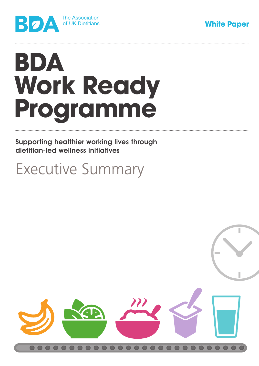



# **BDA Work Ready Programme**

Supporting healthier working lives through dietitian-led wellness initiatives

# Executive Summary

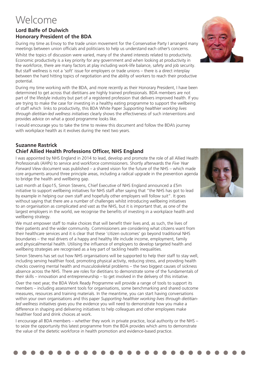# Welcome

## **Lord Balfe of Dulwich Honorary President of the BDA**

During my time as Envoy to the trade union movement for the Conservative Party I arranged many meetings between union officials and politicians to help us understand each other's concerns.

Whilst the topics of discussion were varied, many of the shared interests related to productivity. Economic productivity is a key priority for any government and when looking at productivity in the workforce, there are many factors at play including work-life balance, safety and job security. But staff wellness is not a 'soft' issue for employers or trade unions – there is a direct interplay between the hard hitting topics of negotiation and the ability of workers to reach their productive potential.

During my time working with the BDA, and more recently as their Honorary President, I have been determined to get across that dietitians are highly trained professionals. BDA members are not part of the lifestyle industry but part of a registered profession that delivers improved health. If you are trying to make the case for investing in a healthy eating programme to support the wellbeing of staff which links to productivity, this BDA White Paper *Supporting healthier working lives through dietitian-led wellness initiatives* clearly shows the effectiveness of such interventions and provides advice on what a good programme looks like.

I would encourage you to take the time to review this document and follow the BDA's journey with workplace health as it evolves during the next two years.

### **Suzanne Rastrick Chief Allied Health Professions Officer, NHS England**

I was appointed by NHS England in 2014 to lead, develop and promote the role of all Allied Health Professionals (AHPs) to service and workforce commissioners. Shortly afterwards the *Five Year Forward View* document was published – a shared vision for the future of the NHS – which made core arguments around three principle areas, including a radical upgrade in the prevention agenda to bridge the health and wellbeing gap.

Last month at Expo15, Simon Stevens, Chief Executive of NHS England announced a £5m initiative to support wellbeing initiatives for NHS staff after saying that "the NHS has got to lead by example in helping our own staff and hopefully other employers will follow suit". It goes without saying that there are a number of challenges whilst introducing wellbeing initiatives to an organisation as complicated and vast as the NHS, but it is important that, as one of the largest employers in the world, we recognise the benefits of investing in a workplace health and wellbeing strategy.

We must empower staff to make choices that will benefit their lives and, as such, the lives of their patients and the wider community. Commissioners are considering what citizens want from their healthcare services and it is clear that these 'citizen outcomes' go beyond traditional NHS boundaries – the real drivers of a happy and healthy life include income, employment, family and physical/mental health. Utilising the influence of employers to develop targeted health and wellbeing strategies are recognised as a key part of tackling health inequalities.

Simon Stevens has set out how NHS organisations will be supported to help their staff to stay well, including serving healthier food, promoting physical activity, reducing stress, and providing health checks covering mental health and musculoskeletal problems – the two biggest causes of sickness absence across the NHS. There are roles for dietitians to demonstrate some of the fundamentals of their skills – innovation and entrepreneurship – to get involved in the delivery of this initiative.

Over the next year, the BDA Work Ready Programme will provide a range of tools to support its members – including assessment tools for organisations, some benchmarking and shared outcome measures, resources and training materials. In the meantime, you can start having conversations within your own organisations and this paper *Supporting healthier working lives through dietitianled wellness initiatives* gives you the evidence you will need to demonstrate how you make a difference in shaping and delivering initiatives to help colleagues and other employees make healthier food and drink choices at work.

I encourage all BDA members – whether they work in private practice, local authority or the NHS – to seize the opportunity this latest programme from the BDA provides which aims to demonstrate the value of the dietetic workforce in health promotion and evidence-based practice.



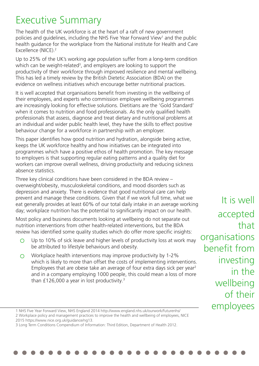# Executive Summary

The health of the UK workforce is at the heart of a raft of new government policies and guidelines, including the NHS Five Year Forward View<sup>1</sup> and the public health guidance for the workplace from the National institute for Health and Care Excellence (NICE).2

Up to 25% of the UK's working age population suffer from a long-term condition which can be weight-related<sup>3</sup>, and employers are looking to support the productivity of their workforce through improved resilience and mental wellbeing. This has led a timely review by the British Dietetic Association (BDA) on the evidence on wellness initiatives which encourage better nutritional practices.

It is well accepted that organisations benefit from investing in the wellbeing of their employees, and experts who commission employee wellbeing programmes are increasingly looking for effective solutions. Dietitians are the 'Gold Standard' when it comes to nutrition and food professionals. As the only qualified health professionals that assess, diagnose and treat dietary and nutritional problems at an individual and wider public health level, they have the skills to effect positive behaviour change for a workforce in partnership with an employer.

This paper identifies how good nutrition and hydration, alongside being active, keeps the UK workforce healthy and how initiatives can be integrated into programmes which have a positive ethos of health promotion. The key message to employers is that supporting regular eating patterns and a quality diet for workers can improve overall wellness, driving productivity and reducing sickness absence statistics.

Three key clinical conditions have been considered in the BDA review – overweight/obesity, musculoskeletal conditions, and mood disorders such as depression and anxiety. There is evidence that good nutritional care can help prevent and manage these conditions. Given that if we work full time, what we eat generally provides at least 60% of our total daily intake in an average working day; workplace nutrition has the potential to significantly impact on our health.

Most policy and business documents looking at wellbeing do not separate out nutrition interventions from other health-related interventions, but the BDA review has identified some quality studies which do offer more specific insights:

- Up to 10% of sick leave and higher levels of productivity loss at work may  $\Omega$ be attributed to lifestyle behaviours and obesity.
- Workplace health interventions may improve productivity by 1-2%  $\bigcap$ which is likely to more than offset the costs of implementing interventions. Employees that are obese take an average of four extra days sick per year2 and in a company employing 1000 people, this could mean a loss of more than £126,000 a year in lost productivity.<sup>3</sup>

It is well accepted that organisations benefit from investing in the wellbeing of their

<sup>1</sup> NHS Five Year Forward View, NHS England 2014 http://www.england.nhs.uk/ourwork/futurenhs/ **CMPIOYEES** 

<sup>2</sup> Workplace policy and management practices to improve the health and wellbeing of employees, NICE

<sup>2015</sup> https://www.nice.org.uk/guidance/ng13.

<sup>3</sup> Long Term Conditions Compendium of Information: Third Edition, Department of Health 2012.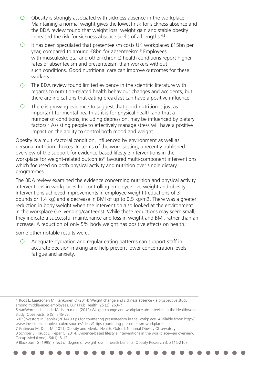- $\bigcirc$ Obesity is strongly associated with sickness absence in the workplace. Maintaining a normal weight gives the lowest risk for sickness absence and the BDA review found that weight loss, weight gain and stable obesity increased the risk for sickness absence spells of all lengths.<sup>4,5</sup>
- $\circ$ It has been speculated that presenteeism costs UK workplaces £15bn per year, compared to around £8bn for absenteeism.<sup>6</sup> Employees with musculoskeletal and other (chronic) health conditions report higher rates of absenteeism and presenteeism than workers without such conditions. Good nutritional care can improve outcomes for these workers.
- The BDA review found limited evidence in the scientific literature with  $\Omega$ regards to nutrition-related health behaviour changes and accidents, but there are indications that eating breakfast can have a positive influence.
- $\bigcirc$ There is growing evidence to suggest that good nutrition is just as important for mental health as it is for physical health and that a number of conditions, including depression, may be influenced by dietary factors.7 Assisting people to effectively manage stress will have a positive impact on the ability to control both mood and weight.

Obesity is a multi-factoral condition, influenced by environment as well as personal nutrition choices. In terms of the work setting, a recently published overview of the support for evidence-based lifestyle interventions in the workplace for weight-related outcomes<sup>8</sup> favoured multi-component interventions which focussed on both physical activity and nutrition over single dietary programmes.

The BDA review examined the evidence concerning nutrition and physical activity interventions in workplaces for controlling employee overweight and obesity. Interventions achieved improvements in employee weight (reductions of 3 pounds or 1.4 kg) and a decrease in BMI of up to 0.5 kg/m2. There was a greater reduction in body weight when the intervention also looked at the environment in the workplace (i.e. vending/canteens). While these reductions may seem small, they indicate a successful maintenance and loss in weight and BMI, rather than an increase. A reduction of only 5% body weight has positive effects on health.<sup>9</sup>

Some other notable results were:

 $\bigcap$ Adequate hydration and regular eating patterns can support staff in accurate decision-making and help prevent lower concentration levels, fatigue and anxiety.

<sup>4</sup> Roos E, Laaksonen M, Rahkonen O (2014) Weight change and sickness absence - a prospective study among middle-aged employees. Eur J Pub Health; 25 (2): 263–7.

<sup>5</sup> VanWormer JJ, Linde JA, Harnack LJ (2012) Weight change and workplace absenteeism in the Healthworks study. Obes Facts; 5 (5): 745-52.

<sup>6</sup> IIP (Investors in People) (2014) 9 tips for countering presenteeism in the workplace. Available from: http:// www.investorsinpeople.co.uk/resources/ideas/9-tips-countering-presenteeism-workplace.

<sup>7</sup> Gatineau M, Dent M (2011) Obesity and Mental Health. Oxford: National Obesity Observatory.

<sup>8</sup> Schröer S, Haupt J, Pieper C (2014) Evidence-based lifestyle interventions in the workplace—an overview. Occup Med (Lond); 64(1): 8-12.

<sup>9</sup> Blackburn G (1995) Effect of degree of weight loss in health benefits. Obesity Research 3: 211S-216S.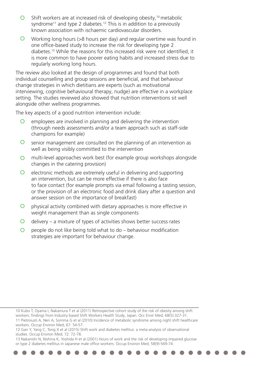- Shift workers are at increased risk of developing obesity,<sup>10</sup> metabolic  $\bigcirc$ syndrome<sup>11</sup> and type 2 diabetes.<sup>12</sup> This is in addition to a previously known association with ischaemic cardiovascular disorders.
- $\circ$ Working long hours (>8 hours per day) and regular overtime was found in one office-based study to increase the risk for developing type 2 diabetes.13 While the reasons for this increased risk were not identified, it is more common to have poorer eating habits and increased stress due to regularly working long hours.

The review also looked at the design of programmes and found that both individual counselling and group sessions are beneficial, and that behaviour change strategies in which dietitians are experts (such as motivational interviewing, cognitive behavioural therapy, nudge) are effective in a workplace setting. The studies reviewed also showed that nutrition interventions sit well alongside other wellness programmes.

The key aspects of a good nutrition intervention include:

- $\overline{O}$ employees are involved in planning and delivering the intervention (through needs assessments and/or a team approach such as staff-side champions for example)
- $\circ$ senior management are consulted on the planning of an intervention as well as being visibly committed to the intervention
- $\Omega$ multi-level approaches work best (for example group workshops alongside changes in the catering provision)
- $\circ$ electronic methods are extremely useful in delivering and supporting an intervention, but can be more effective if there is also face to face contact (for example prompts via email following a tasting session, or the provision of an electronic food and drink diary after a question and answer session on the importance of breakfast)
- $\circ$ physical activity combined with dietary approaches is more effective in weight management than as single components
- $\overline{O}$ delivery – a mixture of types of activities shows better success rates
- $\circ$ people do not like being told what to do – behaviour modification strategies are important for behaviour change.

10 Kubo T, Oyama I, Nakamura T et al (2011) Retrospective cohort study of the risk of obesity among shift workers: findings from Industry based Shift Workers Health Study, Japan. Occ Envir Med; 68(5):327-31. 11 Pietroiusti A, Neri A, Somma G et al (2010) Incidence of metabolic syndrome among night shift healthcare workers. Occup Environ Med; 67: 54-57. 12 Gan Y, Yang C, Tong X et al (2015) Shift work and diabetes mellitus: a meta-analysis of observational

studies. Occup Environ Med; 72: 72-78.

13 Nakanishi N, Nishina K, Yoshida H et al (2001) Hours of work and the risk of developing impaired glucose or type 2 diabetes mellitus in Japanese male office workers. Occup Environ Med; 58(9):569-74.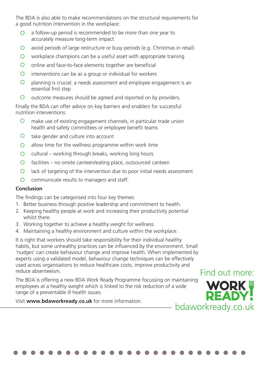The BDA is also able to make recommendations on the structural requirements for a good nutrition intervention in the workplace:

- a follow-up period is recommended to be more than one year to  $\bigcap$ accurately measure long-term impact
- $\Omega$ avoid periods of large restructure or busy periods (e.g. Christmas in retail)
- $\Omega$ workplace champions can be a useful asset with appropriate training
- $\overline{O}$ online and face-to-face elements together are beneficial
- $\overline{O}$ interventions can be as a group or individual for workers
- $\Omega$ planning is crucial: a needs assessment and employee engagement is an essential first step
- $\circ$ outcome measures should be agreed and reported on by providers.

Finally the BDA can offer advice on key barriers and enablers for successful nutrition interventions:

- $\bigcirc$ make use of existing engagement channels, in particular trade union health and safety committees or employee benefit teams
- $\circ$ take gender and culture into account
- $\overline{O}$ allow time for the wellness programme within work time
- $\Omega$ cultural – working through breaks, working long hours
- facilities no onsite canteen/eating place, outsourced canteen  $\bigcirc$
- $\overline{O}$ lack of targeting of the intervention due to poor initial needs assessment
- $\bigcirc$ communicate results to managers and staff.

## **Conclusion**

The findings can be categorised into four key themes:

- 1. Better business through positive leadership and commitment to health.
- 2. Keeping healthy people at work and increasing their productivity potential whilst there.
- 3. Working together to achieve a healthy weight for wellness.
- 4. Maintaining a healthy environment and culture within the workplace.

It is right that workers should take responsibility for their individual healthy habits, but some unhealthy practices can be influenced by the environment. Small 'nudges' can create behaviour change and improve health. When implemented by experts using a validated model, behaviour change techniques can be effectively used across organisations to reduce healthcare costs, improve productivity and reduce absenteeism. Find out more:

The BDA is offering a new BDA Work Ready Programme focussing on maintaining employees at a healthy weight which is linked to the risk reduction of a wide range of a preventable ill health issues.

Visit **www.bdaworkready.co.uk** for more information.

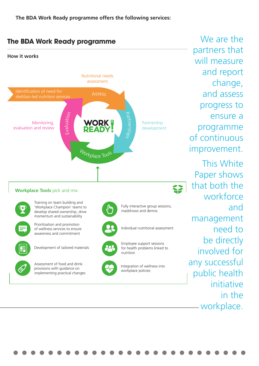**The BDA Work Ready programme offers the following services:**



We are the partners that will measure and report change, and assess progress to ensure a programme of continuous improvement. This White Paper shows that both the workforce and management need to be directly involved for any successful public health initiative in the workplace.